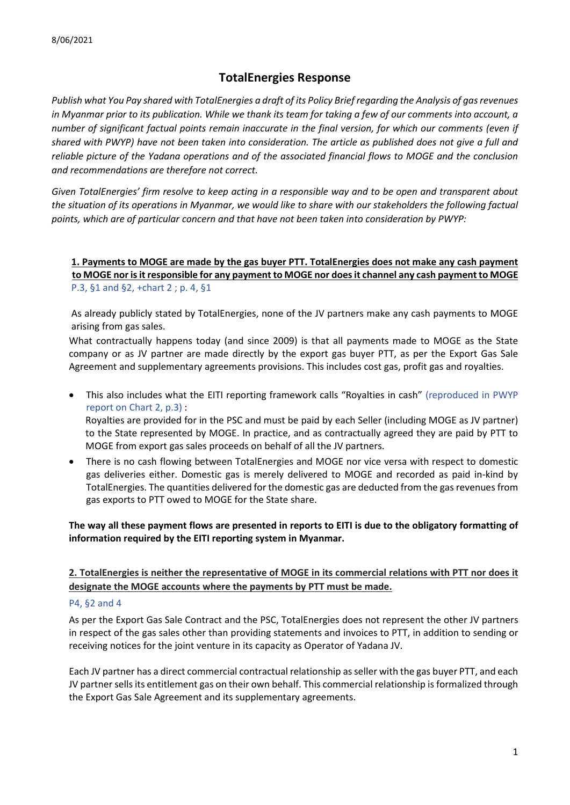# **TotalEnergies Response**

*Publish what You Pay shared with TotalEnergies a draft of its Policy Brief regarding the Analysis of gas revenues in Myanmar prior to its publication. While we thank its team for taking a few of our comments into account, a number of significant factual points remain inaccurate in the final version, for which our comments (even if shared with PWYP) have not been taken into consideration. The article as published does not give a full and reliable picture of the Yadana operations and of the associated financial flows to MOGE and the conclusion and recommendations are therefore not correct.* 

*Given TotalEnergies' firm resolve to keep acting in a responsible way and to be open and transparent about the situation of its operations in Myanmar, we would like to share with our stakeholders the following factual points, which are of particular concern and that have not been taken into consideration by PWYP:* 

**1. Payments to MOGE are made by the gas buyer PTT. TotalEnergies does not make any cash payment to MOGE nor is it responsible for any payment to MOGE nor does it channel any cash payment to MOGE**  P.3, §1 and §2, +chart 2 ; p. 4, §1

As already publicly stated by TotalEnergies, none of the JV partners make any cash payments to MOGE arising from gas sales.

What contractually happens today (and since 2009) is that all payments made to MOGE as the State company or as JV partner are made directly by the export gas buyer PTT, as per the Export Gas Sale Agreement and supplementary agreements provisions. This includes cost gas, profit gas and royalties.

- This also includes what the EITI reporting framework calls "Royalties in cash" (reproduced in PWYP report on Chart 2, p.3) : Royalties are provided for in the PSC and must be paid by each Seller (including MOGE as JV partner) to the State represented by MOGE. In practice, and as contractually agreed they are paid by PTT to MOGE from export gas sales proceeds on behalf of all the JV partners.
- There is no cash flowing between TotalEnergies and MOGE nor vice versa with respect to domestic gas deliveries either. Domestic gas is merely delivered to MOGE and recorded as paid in-kind by TotalEnergies. The quantities delivered for the domestic gas are deducted from the gas revenues from gas exports to PTT owed to MOGE for the State share.

**The way all these payment flows are presented in reports to EITI is due to the obligatory formatting of information required by the EITI reporting system in Myanmar.** 

## **2. TotalEnergies is neither the representative of MOGE in its commercial relations with PTT nor does it designate the MOGE accounts where the payments by PTT must be made.**

#### P4, §2 and 4

As per the Export Gas Sale Contract and the PSC, TotalEnergies does not represent the other JV partners in respect of the gas sales other than providing statements and invoices to PTT, in addition to sending or receiving notices for the joint venture in its capacity as Operator of Yadana JV.

Each JV partner has a direct commercial contractual relationship as seller with the gas buyer PTT, and each JV partner sells its entitlement gas on their own behalf. This commercial relationship is formalized through the Export Gas Sale Agreement and its supplementary agreements.